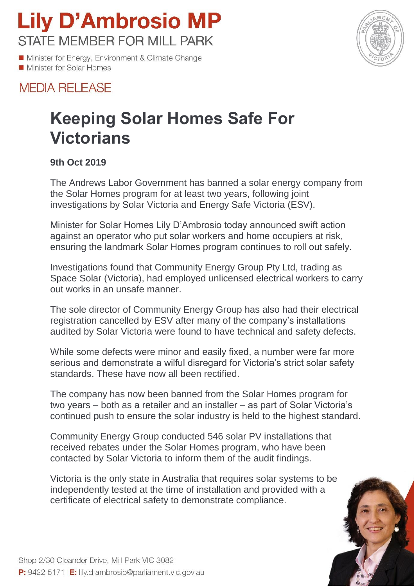## **Lily D'Ambrosio MP STATE MEMBER FOR MILL PARK**

Minister for Energy, Environment & Climate Change Minister for Solar Homes



### **MEDIA RELEASE**

## **Keeping Solar Homes Safe For Victorians**

#### **9th Oct 2019**

The Andrews Labor Government has banned a solar energy company from the Solar Homes program for at least two years, following joint investigations by Solar Victoria and Energy Safe Victoria (ESV).

Minister for Solar Homes Lily D'Ambrosio today announced swift action against an operator who put solar workers and home occupiers at risk, ensuring the landmark Solar Homes program continues to roll out safely.

Investigations found that Community Energy Group Pty Ltd, trading as Space Solar (Victoria), had employed unlicensed electrical workers to carry out works in an unsafe manner.

The sole director of Community Energy Group has also had their electrical registration cancelled by ESV after many of the company's installations audited by Solar Victoria were found to have technical and safety defects.

While some defects were minor and easily fixed, a number were far more serious and demonstrate a wilful disregard for Victoria's strict solar safety standards. These have now all been rectified.

The company has now been banned from the Solar Homes program for two years – both as a retailer and an installer – as part of Solar Victoria's continued push to ensure the solar industry is held to the highest standard.

Community Energy Group conducted 546 solar PV installations that received rebates under the Solar Homes program, who have been contacted by Solar Victoria to inform them of the audit findings.

Victoria is the only state in Australia that requires solar systems to be independently tested at the time of installation and provided with a certificate of electrical safety to demonstrate compliance.